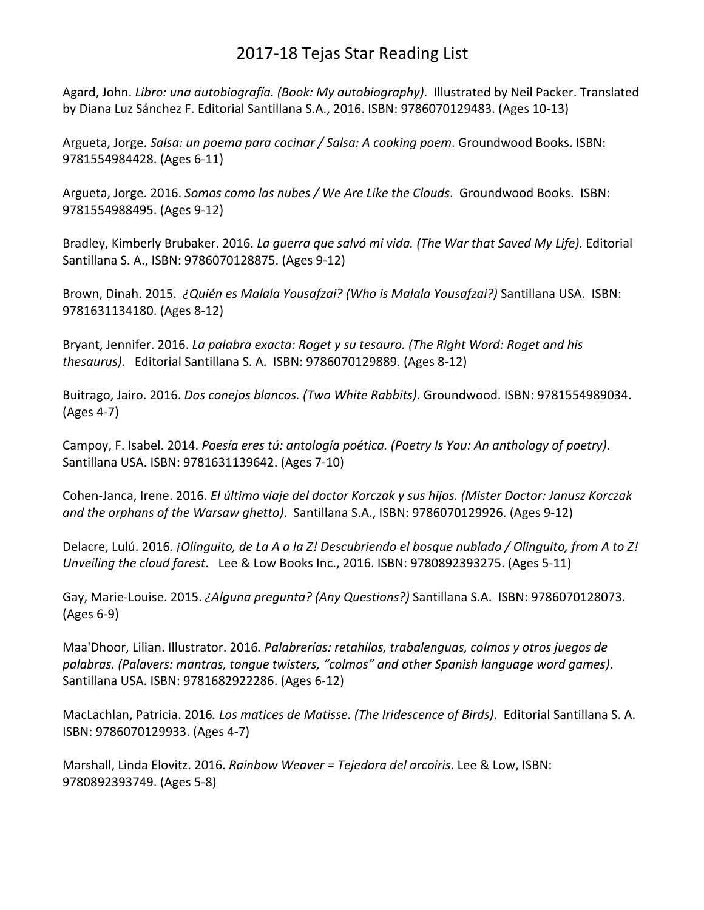## 2017-18 Tejas Star Reading List

Agard, John. *Libro: una autobiografía. (Book: My autobiography)*. Illustrated by Neil Packer. Translated by Diana Luz Sánchez F. Editorial Santillana S.A., 2016. ISBN: 9786070129483. (Ages 10-13)

Argueta, Jorge. *Salsa: un poema para cocinar / Salsa: A cooking poem*. Groundwood Books. ISBN: 9781554984428. (Ages 6-11)

Argueta, Jorge. 2016. *Somos como las nubes / We Are Like the Clouds*. Groundwood Books. ISBN: 9781554988495. (Ages 9-12)

Bradley, Kimberly Brubaker. 2016. *La guerra que salvó mi vida. (The War that Saved My Life).* Editorial Santillana S. A., ISBN: 9786070128875. (Ages 9-12)

Brown, Dinah. 2015. *¿Quién es Malala Yousafzai? (Who is Malala Yousafzai?)* Santillana USA. ISBN: 9781631134180. (Ages 8-12)

Bryant, Jennifer. 2016. *La palabra exacta: Roget y su tesauro. (The Right Word: Roget and his thesaurus)*. Editorial Santillana S. A. ISBN: 9786070129889. (Ages 8-12)

Buitrago, Jairo. 2016. *Dos conejos blancos. (Two White Rabbits)*. Groundwood. ISBN: 9781554989034. (Ages 4-7)

Campoy, F. Isabel. 2014. *Poesía eres tú: antología poética. (Poetry Is You: An anthology of poetry)*. Santillana USA. ISBN: 9781631139642. (Ages 7-10)

Cohen-Janca, Irene. 2016. *El último viaje del doctor Korczak y sus hijos. (Mister Doctor: Janusz Korczak and the orphans of the Warsaw ghetto)*. Santillana S.A., ISBN: 9786070129926. (Ages 9-12)

Delacre, Lulú. 2016*. ¡Olinguito, de La A a la Z! Descubriendo el bosque nublado / Olinguito, from A to Z! Unveiling the cloud forest*. Lee & Low Books Inc., 2016. ISBN: 9780892393275. (Ages 5-11)

Gay, Marie-Louise. 2015. *¿Alguna pregunta? (Any Questions?)* Santillana S.A. ISBN: 9786070128073. (Ages 6-9)

Maa'Dhoor, Lilian. Illustrator. 2016*. Palabrerías: retahílas, trabalenguas, colmos y otros juegos de palabras. (Palavers: mantras, tongue twisters, "colmos" and other Spanish language word games)*. Santillana USA. ISBN: 9781682922286. (Ages 6-12)

MacLachlan, Patricia. 2016*. Los matices de Matisse. (The Iridescence of Birds)*. Editorial Santillana S. A. ISBN: 9786070129933. (Ages 4-7)

Marshall, Linda Elovitz. 2016. *Rainbow Weaver = Tejedora del arcoiris*. Lee & Low, ISBN: 9780892393749. (Ages 5-8)